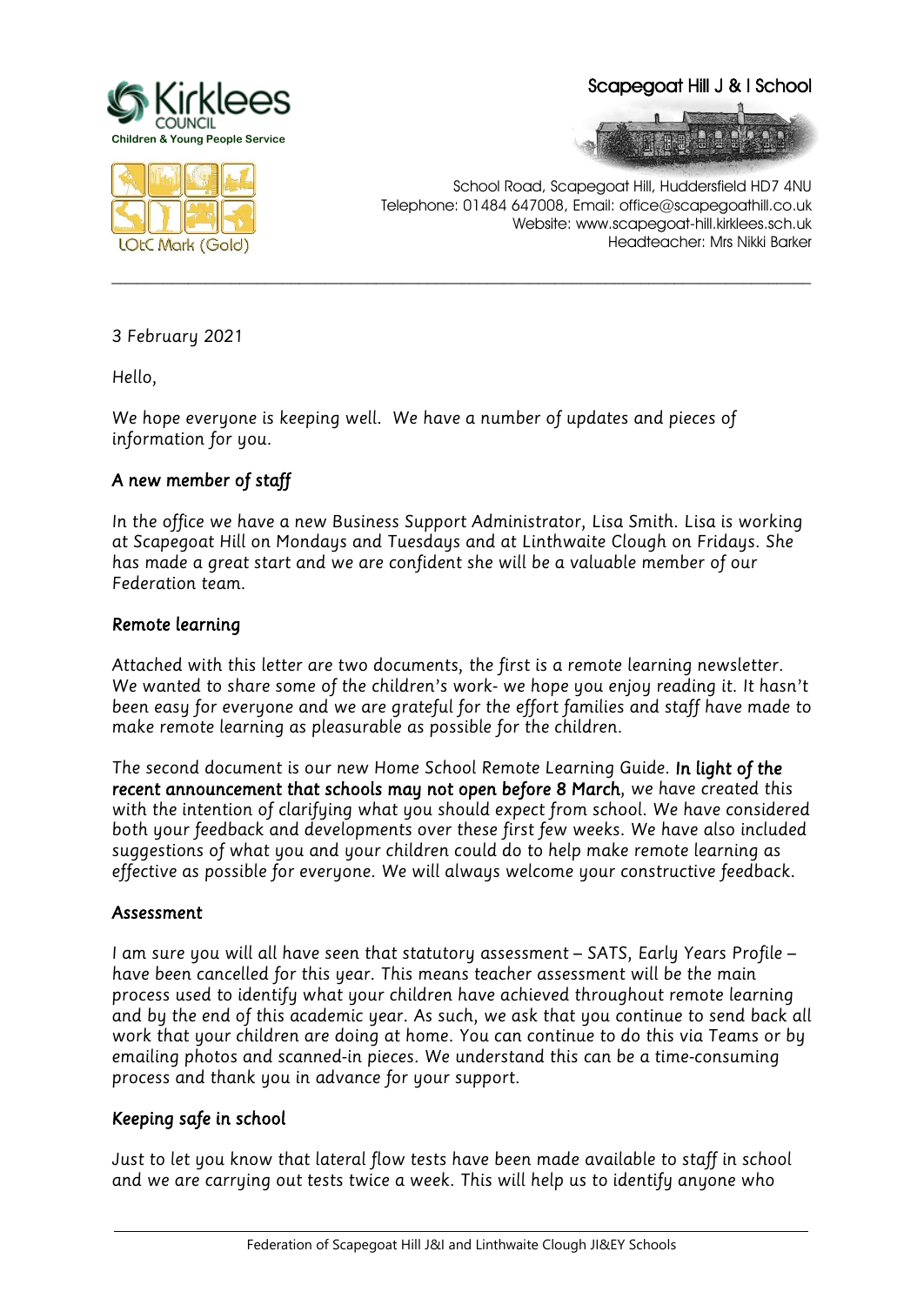

#### Scapegoat Hill J & I School





School Road, Scapegoat Hill, Huddersfield HD7 4NU Telephone: 01484 647008, Email: office@scapegoathill.co.uk Website: www.scapegoat-hill.kirklees.sch.uk Headteacher: Mrs Nikki Barker

*3 February 2021*

*Hello,* 

*We hope everyone is keeping well. We have a number of updates and pieces of information for you.*

# *A new member of staff*

*In the office we have a new Business Support Administrator, Lisa Smith. Lisa is working at Scapegoat Hill on Mondays and Tuesdays and at Linthwaite Clough on Fridays. She has made a great start and we are confident she will be a valuable member of our Federation team.*

**\_\_\_\_\_\_\_\_\_\_\_\_\_\_\_\_\_\_\_\_\_\_\_\_\_\_\_\_\_\_\_\_\_\_\_\_\_\_\_\_\_\_\_\_\_\_\_\_\_\_\_\_\_\_\_\_\_\_\_\_\_\_\_\_\_\_\_\_\_\_\_\_\_\_\_\_\_\_\_\_\_\_**

## *Remote learning*

*Attached with this letter are two documents, the first is a remote learning newsletter. We wanted to share some of the children's work- we hope you enjoy reading it. It hasn't been easy for everyone and we are grateful for the effort families and staff have made to make remote learning as pleasurable as possible for the children.*

*The second document is our new Home School Remote Learning Guide. In light of the recent announcement that schools may not open before 8 March, we have created this with the intention of clarifying what you should expect from school. We have considered both your feedback and developments over these first few weeks. We have also included suggestions of what you and your children could do to help make remote learning as effective as possible for everyone. We will always welcome your constructive feedback.*

#### *Assessment*

*I* am sure you will all have seen that statutory assessment – SATS, Early Years Profile – *have been cancelled for this year. This means teacher assessment will be the main process used to identify what your children have achieved throughout remote learning and by the end of this academic year. As such, we ask that you continue to send back all work that your children are doing at home. You can continue to do this via Teams or by emailing photos and scanned-in pieces. We understand this can be a time-consuming process and thank you in advance for your support.*

## *Keeping safe in school*

*Just to let you know that lateral flow tests have been made available to staff in school and we are carrying out tests twice a week. This will help us to identify anyone who*